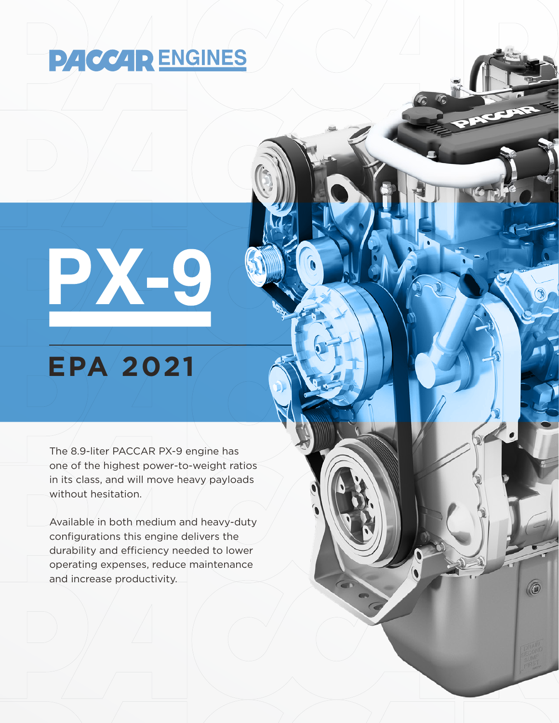# **PACCAR ENGINES**

# BACK C

## **EPA 2021**

The 8.9-liter PACCAR PX-9 engine has one of the highest power-to-weight ratios in its class, and will move heavy payloads without hesitation.

Available in both medium and heavy-duty configurations this engine delivers the durability and efficiency needed to lower operating expenses, reduce maintenance and increase productivity.

0